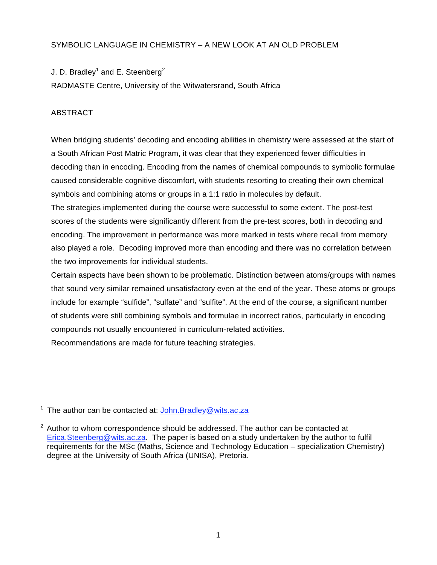# SYMBOLIC LANGUAGE IN CHEMISTRY – A NEW LOOK AT AN OLD PROBLEM

J. D. Bradley<sup>1</sup> and E. Steenberg<sup>2</sup>

RADMASTE Centre, University of the Witwatersrand, South Africa

# ABSTRACT

When bridging students' decoding and encoding abilities in chemistry were assessed at the start of a South African Post Matric Program, it was clear that they experienced fewer difficulties in decoding than in encoding. Encoding from the names of chemical compounds to symbolic formulae caused considerable cognitive discomfort, with students resorting to creating their own chemical symbols and combining atoms or groups in a 1:1 ratio in molecules by default.

The strategies implemented during the course were successful to some extent. The post-test scores of the students were significantly different from the pre-test scores, both in decoding and encoding. The improvement in performance was more marked in tests where recall from memory also played a role. Decoding improved more than encoding and there was no correlation between the two improvements for individual students.

Certain aspects have been shown to be problematic. Distinction between atoms/groups with names that sound very similar remained unsatisfactory even at the end of the year. These atoms or groups include for example "sulfide", "sulfate" and "sulfite". At the end of the course, a significant number of students were still combining symbols and formulae in incorrect ratios, particularly in encoding compounds not usually encountered in curriculum-related activities.

Recommendations are made for future teaching strategies.

<sup>1</sup> The author can be contacted at:  $John.Bradley@wits.ac.za$ 

 $2$  Author to whom correspondence should be addressed. The author can be contacted at Erica.Steenberg@wits.ac.za. The paper is based on a study undertaken by the author to fulfil requirements for the MSc (Maths, Science and Technology Education – specialization Chemistry) degree at the University of South Africa (UNISA), Pretoria.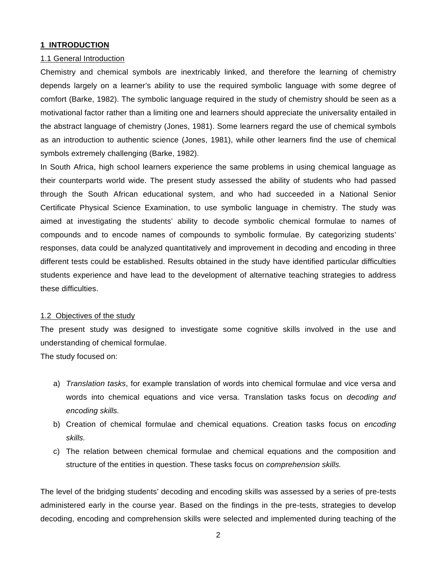### **1 INTRODUCTION**

#### 1.1 General Introduction

Chemistry and chemical symbols are inextricably linked, and therefore the learning of chemistry depends largely on a learner's ability to use the required symbolic language with some degree of comfort (Barke, 1982). The symbolic language required in the study of chemistry should be seen as a motivational factor rather than a limiting one and learners should appreciate the universality entailed in the abstract language of chemistry (Jones, 1981). Some learners regard the use of chemical symbols as an introduction to authentic science (Jones, 1981), while other learners find the use of chemical symbols extremely challenging (Barke, 1982).

In South Africa, high school learners experience the same problems in using chemical language as their counterparts world wide. The present study assessed the ability of students who had passed through the South African educational system, and who had succeeded in a National Senior Certificate Physical Science Examination, to use symbolic language in chemistry. The study was aimed at investigating the students' ability to decode symbolic chemical formulae to names of compounds and to encode names of compounds to symbolic formulae. By categorizing students' responses, data could be analyzed quantitatively and improvement in decoding and encoding in three different tests could be established. Results obtained in the study have identified particular difficulties students experience and have lead to the development of alternative teaching strategies to address these difficulties.

#### 1.2 Objectives of the study

The present study was designed to investigate some cognitive skills involved in the use and understanding of chemical formulae.

The study focused on:

- a) *Translation tasks*, for example translation of words into chemical formulae and vice versa and words into chemical equations and vice versa. Translation tasks focus on *decoding and encoding skills.*
- b) Creation of chemical formulae and chemical equations. Creation tasks focus on *encoding skills.*
- c) The relation between chemical formulae and chemical equations and the composition and structure of the entities in question. These tasks focus on *comprehension skills.*

The level of the bridging students' decoding and encoding skills was assessed by a series of pre-tests administered early in the course year. Based on the findings in the pre-tests, strategies to develop decoding, encoding and comprehension skills were selected and implemented during teaching of the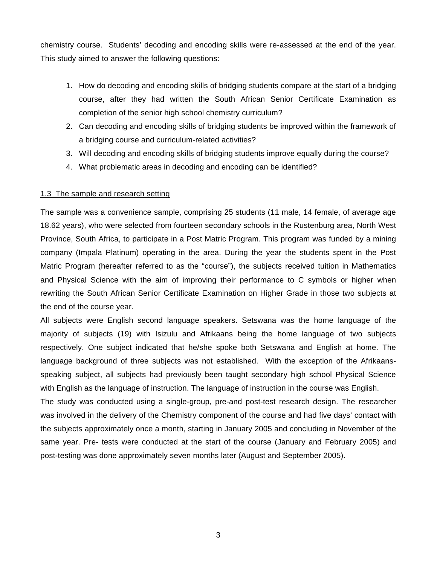chemistry course. Students' decoding and encoding skills were re-assessed at the end of the year. This study aimed to answer the following questions:

- 1. How do decoding and encoding skills of bridging students compare at the start of a bridging course, after they had written the South African Senior Certificate Examination as completion of the senior high school chemistry curriculum?
- 2. Can decoding and encoding skills of bridging students be improved within the framework of a bridging course and curriculum-related activities?
- 3. Will decoding and encoding skills of bridging students improve equally during the course?
- 4. What problematic areas in decoding and encoding can be identified?

### 1.3 The sample and research setting

The sample was a convenience sample, comprising 25 students (11 male, 14 female, of average age 18.62 years), who were selected from fourteen secondary schools in the Rustenburg area, North West Province, South Africa, to participate in a Post Matric Program. This program was funded by a mining company (Impala Platinum) operating in the area. During the year the students spent in the Post Matric Program (hereafter referred to as the "course"), the subjects received tuition in Mathematics and Physical Science with the aim of improving their performance to C symbols or higher when rewriting the South African Senior Certificate Examination on Higher Grade in those two subjects at the end of the course year.

All subjects were English second language speakers. Setswana was the home language of the majority of subjects (19) with Isizulu and Afrikaans being the home language of two subjects respectively. One subject indicated that he/she spoke both Setswana and English at home. The language background of three subjects was not established. With the exception of the Afrikaansspeaking subject, all subjects had previously been taught secondary high school Physical Science with English as the language of instruction. The language of instruction in the course was English.

The study was conducted using a single-group, pre-and post-test research design. The researcher was involved in the delivery of the Chemistry component of the course and had five days' contact with the subjects approximately once a month, starting in January 2005 and concluding in November of the same year. Pre- tests were conducted at the start of the course (January and February 2005) and post-testing was done approximately seven months later (August and September 2005).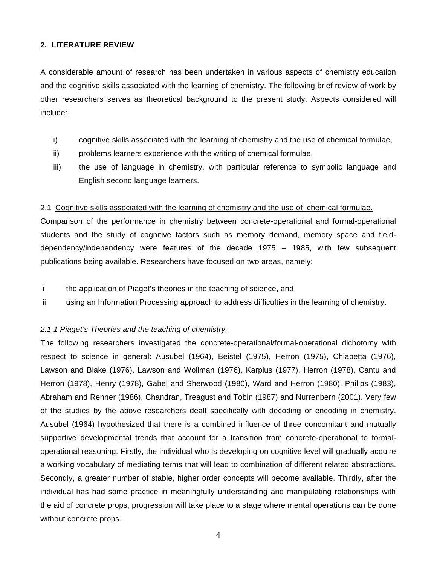## **2. LITERATURE REVIEW**

A considerable amount of research has been undertaken in various aspects of chemistry education and the cognitive skills associated with the learning of chemistry. The following brief review of work by other researchers serves as theoretical background to the present study. Aspects considered will include:

- i) cognitive skills associated with the learning of chemistry and the use of chemical formulae,
- ii) problems learners experience with the writing of chemical formulae,
- iii) the use of language in chemistry, with particular reference to symbolic language and English second language learners.

## 2.1 Cognitive skills associated with the learning of chemistry and the use of chemical formulae.

Comparison of the performance in chemistry between concrete-operational and formal-operational students and the study of cognitive factors such as memory demand, memory space and fielddependency/independency were features of the decade 1975 – 1985, with few subsequent publications being available. Researchers have focused on two areas, namely:

- i the application of Piaget's theories in the teaching of science, and
- ii using an Information Processing approach to address difficulties in the learning of chemistry.

#### *2.1.1 Piaget's Theories and the teaching of chemistry.*

The following researchers investigated the concrete-operational/formal-operational dichotomy with respect to science in general: Ausubel (1964), Beistel (1975), Herron (1975), Chiapetta (1976), Lawson and Blake (1976), Lawson and Wollman (1976), Karplus (1977), Herron (1978), Cantu and Herron (1978), Henry (1978), Gabel and Sherwood (1980), Ward and Herron (1980), Philips (1983), Abraham and Renner (1986), Chandran, Treagust and Tobin (1987) and Nurrenbern (2001). Very few of the studies by the above researchers dealt specifically with decoding or encoding in chemistry. Ausubel (1964) hypothesized that there is a combined influence of three concomitant and mutually supportive developmental trends that account for a transition from concrete-operational to formaloperational reasoning. Firstly, the individual who is developing on cognitive level will gradually acquire a working vocabulary of mediating terms that will lead to combination of different related abstractions. Secondly, a greater number of stable, higher order concepts will become available. Thirdly, after the individual has had some practice in meaningfully understanding and manipulating relationships with the aid of concrete props, progression will take place to a stage where mental operations can be done without concrete props.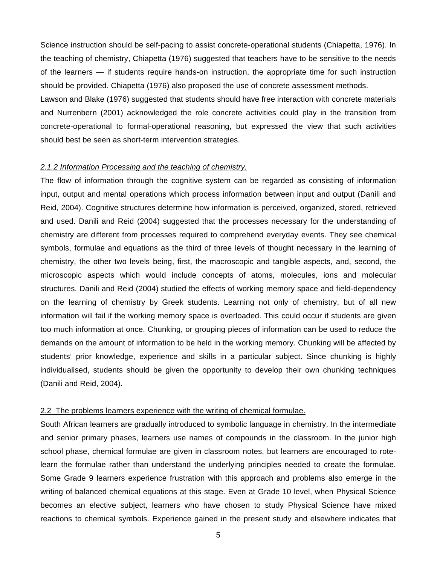Science instruction should be self-pacing to assist concrete-operational students (Chiapetta, 1976). In the teaching of chemistry, Chiapetta (1976) suggested that teachers have to be sensitive to the needs of the learners — if students require hands-on instruction, the appropriate time for such instruction should be provided. Chiapetta (1976) also proposed the use of concrete assessment methods.

Lawson and Blake (1976) suggested that students should have free interaction with concrete materials and Nurrenbern (2001) acknowledged the role concrete activities could play in the transition from concrete-operational to formal-operational reasoning, but expressed the view that such activities should best be seen as short-term intervention strategies.

#### *2.1.2 Information Processing and the teaching of chemistry.*

The flow of information through the cognitive system can be regarded as consisting of information input, output and mental operations which process information between input and output (Danili and Reid, 2004). Cognitive structures determine how information is perceived, organized, stored, retrieved and used. Danili and Reid (2004) suggested that the processes necessary for the understanding of chemistry are different from processes required to comprehend everyday events. They see chemical symbols, formulae and equations as the third of three levels of thought necessary in the learning of chemistry, the other two levels being, first, the macroscopic and tangible aspects, and, second, the microscopic aspects which would include concepts of atoms, molecules, ions and molecular structures. Danili and Reid (2004) studied the effects of working memory space and field-dependency on the learning of chemistry by Greek students. Learning not only of chemistry, but of all new information will fail if the working memory space is overloaded. This could occur if students are given too much information at once. Chunking, or grouping pieces of information can be used to reduce the demands on the amount of information to be held in the working memory. Chunking will be affected by students' prior knowledge, experience and skills in a particular subject. Since chunking is highly individualised, students should be given the opportunity to develop their own chunking techniques (Danili and Reid, 2004).

#### 2.2 The problems learners experience with the writing of chemical formulae.

South African learners are gradually introduced to symbolic language in chemistry. In the intermediate and senior primary phases, learners use names of compounds in the classroom. In the junior high school phase, chemical formulae are given in classroom notes, but learners are encouraged to rotelearn the formulae rather than understand the underlying principles needed to create the formulae. Some Grade 9 learners experience frustration with this approach and problems also emerge in the writing of balanced chemical equations at this stage. Even at Grade 10 level, when Physical Science becomes an elective subject, learners who have chosen to study Physical Science have mixed reactions to chemical symbols. Experience gained in the present study and elsewhere indicates that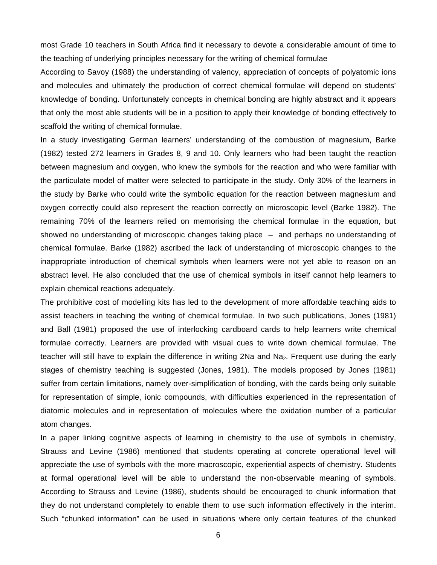most Grade 10 teachers in South Africa find it necessary to devote a considerable amount of time to the teaching of underlying principles necessary for the writing of chemical formulae

According to Savoy (1988) the understanding of valency, appreciation of concepts of polyatomic ions and molecules and ultimately the production of correct chemical formulae will depend on students' knowledge of bonding. Unfortunately concepts in chemical bonding are highly abstract and it appears that only the most able students will be in a position to apply their knowledge of bonding effectively to scaffold the writing of chemical formulae.

In a study investigating German learners' understanding of the combustion of magnesium, Barke (1982) tested 272 learners in Grades 8, 9 and 10. Only learners who had been taught the reaction between magnesium and oxygen, who knew the symbols for the reaction and who were familiar with the particulate model of matter were selected to participate in the study. Only 30% of the learners in the study by Barke who could write the symbolic equation for the reaction between magnesium and oxygen correctly could also represent the reaction correctly on microscopic level (Barke 1982). The remaining 70% of the learners relied on memorising the chemical formulae in the equation, but showed no understanding of microscopic changes taking place – and perhaps no understanding of chemical formulae. Barke (1982) ascribed the lack of understanding of microscopic changes to the inappropriate introduction of chemical symbols when learners were not yet able to reason on an abstract level. He also concluded that the use of chemical symbols in itself cannot help learners to explain chemical reactions adequately.

The prohibitive cost of modelling kits has led to the development of more affordable teaching aids to assist teachers in teaching the writing of chemical formulae. In two such publications, Jones (1981) and Ball (1981) proposed the use of interlocking cardboard cards to help learners write chemical formulae correctly. Learners are provided with visual cues to write down chemical formulae. The teacher will still have to explain the difference in writing  $2Na$  and  $Na<sub>2</sub>$ . Frequent use during the early stages of chemistry teaching is suggested (Jones, 1981). The models proposed by Jones (1981) suffer from certain limitations, namely over-simplification of bonding, with the cards being only suitable for representation of simple, ionic compounds, with difficulties experienced in the representation of diatomic molecules and in representation of molecules where the oxidation number of a particular atom changes.

In a paper linking cognitive aspects of learning in chemistry to the use of symbols in chemistry, Strauss and Levine (1986) mentioned that students operating at concrete operational level will appreciate the use of symbols with the more macroscopic, experiential aspects of chemistry. Students at formal operational level will be able to understand the non-observable meaning of symbols. According to Strauss and Levine (1986), students should be encouraged to chunk information that they do not understand completely to enable them to use such information effectively in the interim. Such "chunked information" can be used in situations where only certain features of the chunked

6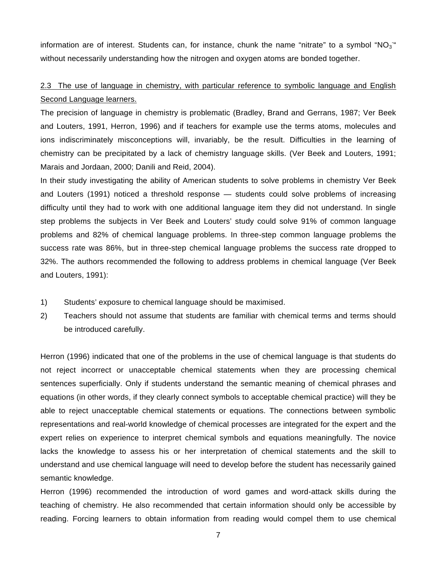information are of interest. Students can, for instance, chunk the name "nitrate" to a symbol "NO<sub>3</sub>" without necessarily understanding how the nitrogen and oxygen atoms are bonded together.

# 2.3 The use of language in chemistry, with particular reference to symbolic language and English Second Language learners.

The precision of language in chemistry is problematic (Bradley, Brand and Gerrans, 1987; Ver Beek and Louters, 1991, Herron, 1996) and if teachers for example use the terms atoms, molecules and ions indiscriminately misconceptions will, invariably, be the result. Difficulties in the learning of chemistry can be precipitated by a lack of chemistry language skills. (Ver Beek and Louters, 1991; Marais and Jordaan, 2000; Danili and Reid, 2004).

In their study investigating the ability of American students to solve problems in chemistry Ver Beek and Louters (1991) noticed a threshold response — students could solve problems of increasing difficulty until they had to work with one additional language item they did not understand. In single step problems the subjects in Ver Beek and Louters' study could solve 91% of common language problems and 82% of chemical language problems. In three-step common language problems the success rate was 86%, but in three-step chemical language problems the success rate dropped to 32%. The authors recommended the following to address problems in chemical language (Ver Beek and Louters, 1991):

- 1) Students' exposure to chemical language should be maximised.
- 2) Teachers should not assume that students are familiar with chemical terms and terms should be introduced carefully.

Herron (1996) indicated that one of the problems in the use of chemical language is that students do not reject incorrect or unacceptable chemical statements when they are processing chemical sentences superficially. Only if students understand the semantic meaning of chemical phrases and equations (in other words, if they clearly connect symbols to acceptable chemical practice) will they be able to reject unacceptable chemical statements or equations. The connections between symbolic representations and real-world knowledge of chemical processes are integrated for the expert and the expert relies on experience to interpret chemical symbols and equations meaningfully. The novice lacks the knowledge to assess his or her interpretation of chemical statements and the skill to understand and use chemical language will need to develop before the student has necessarily gained semantic knowledge.

Herron (1996) recommended the introduction of word games and word-attack skills during the teaching of chemistry. He also recommended that certain information should only be accessible by reading. Forcing learners to obtain information from reading would compel them to use chemical

7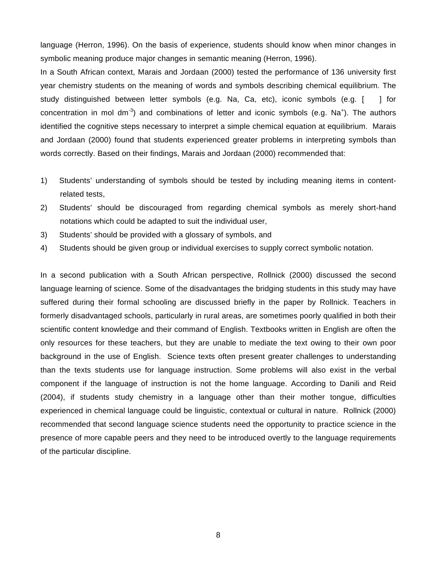language (Herron, 1996). On the basis of experience, students should know when minor changes in symbolic meaning produce major changes in semantic meaning (Herron, 1996).

In a South African context, Marais and Jordaan (2000) tested the performance of 136 university first year chemistry students on the meaning of words and symbols describing chemical equilibrium. The study distinguished between letter symbols (e.g. Na, Ca, etc), iconic symbols (e.g. [ ] for concentration in mol dm<sup>-3</sup>) and combinations of letter and iconic symbols (e.g. Na<sup>+</sup>). The authors identified the cognitive steps necessary to interpret a simple chemical equation at equilibrium. Marais and Jordaan (2000) found that students experienced greater problems in interpreting symbols than words correctly. Based on their findings, Marais and Jordaan (2000) recommended that:

- 1) Students' understanding of symbols should be tested by including meaning items in contentrelated tests,
- 2) Students' should be discouraged from regarding chemical symbols as merely short-hand notations which could be adapted to suit the individual user,
- 3) Students' should be provided with a glossary of symbols, and
- 4) Students should be given group or individual exercises to supply correct symbolic notation.

In a second publication with a South African perspective, Rollnick (2000) discussed the second language learning of science. Some of the disadvantages the bridging students in this study may have suffered during their formal schooling are discussed briefly in the paper by Rollnick. Teachers in formerly disadvantaged schools, particularly in rural areas, are sometimes poorly qualified in both their scientific content knowledge and their command of English. Textbooks written in English are often the only resources for these teachers, but they are unable to mediate the text owing to their own poor background in the use of English. Science texts often present greater challenges to understanding than the texts students use for language instruction. Some problems will also exist in the verbal component if the language of instruction is not the home language. According to Danili and Reid (2004), if students study chemistry in a language other than their mother tongue, difficulties experienced in chemical language could be linguistic, contextual or cultural in nature. Rollnick (2000) recommended that second language science students need the opportunity to practice science in the presence of more capable peers and they need to be introduced overtly to the language requirements of the particular discipline.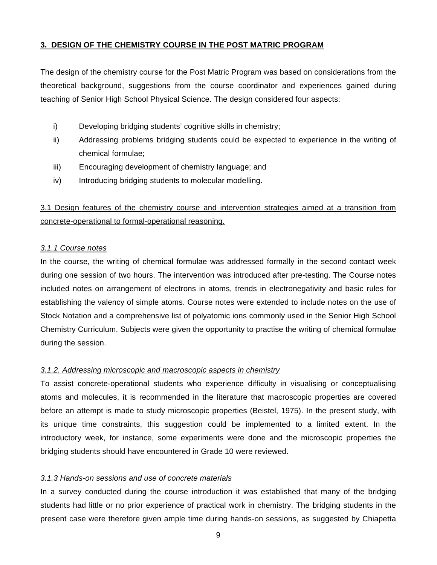# **3. DESIGN OF THE CHEMISTRY COURSE IN THE POST MATRIC PROGRAM**

The design of the chemistry course for the Post Matric Program was based on considerations from the theoretical background, suggestions from the course coordinator and experiences gained during teaching of Senior High School Physical Science. The design considered four aspects:

- i) Developing bridging students' cognitive skills in chemistry;
- ii) Addressing problems bridging students could be expected to experience in the writing of chemical formulae;
- iii) Encouraging development of chemistry language; and
- iv) Introducing bridging students to molecular modelling.

3.1 Design features of the chemistry course and intervention strategies aimed at a transition from concrete-operational to formal-operational reasoning.

# *3.1.1 Course notes*

In the course, the writing of chemical formulae was addressed formally in the second contact week during one session of two hours. The intervention was introduced after pre-testing. The Course notes included notes on arrangement of electrons in atoms, trends in electronegativity and basic rules for establishing the valency of simple atoms. Course notes were extended to include notes on the use of Stock Notation and a comprehensive list of polyatomic ions commonly used in the Senior High School Chemistry Curriculum. Subjects were given the opportunity to practise the writing of chemical formulae during the session.

# *3.1.2. Addressing microscopic and macroscopic aspects in chemistry*

To assist concrete-operational students who experience difficulty in visualising or conceptualising atoms and molecules, it is recommended in the literature that macroscopic properties are covered before an attempt is made to study microscopic properties (Beistel, 1975). In the present study, with its unique time constraints, this suggestion could be implemented to a limited extent. In the introductory week, for instance, some experiments were done and the microscopic properties the bridging students should have encountered in Grade 10 were reviewed.

# *3.1.3 Hands-on sessions and use of concrete materials*

In a survey conducted during the course introduction it was established that many of the bridging students had little or no prior experience of practical work in chemistry. The bridging students in the present case were therefore given ample time during hands-on sessions, as suggested by Chiapetta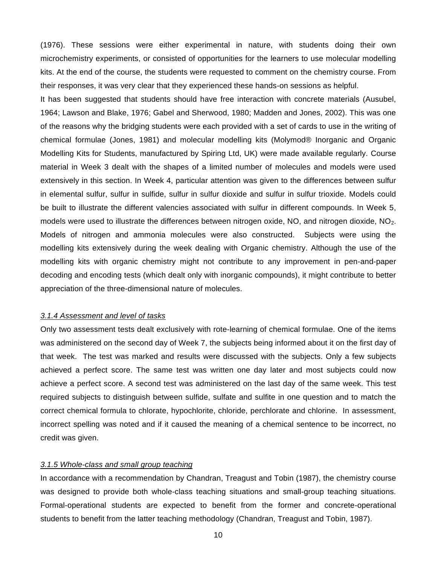(1976). These sessions were either experimental in nature, with students doing their own microchemistry experiments, or consisted of opportunities for the learners to use molecular modelling kits. At the end of the course, the students were requested to comment on the chemistry course. From their responses, it was very clear that they experienced these hands-on sessions as helpful.

It has been suggested that students should have free interaction with concrete materials (Ausubel, 1964; Lawson and Blake, 1976; Gabel and Sherwood, 1980; Madden and Jones, 2002). This was one of the reasons why the bridging students were each provided with a set of cards to use in the writing of chemical formulae (Jones, 1981) and molecular modelling kits (Molymod® Inorganic and Organic Modelling Kits for Students, manufactured by Spiring Ltd, UK) were made available regularly. Course material in Week 3 dealt with the shapes of a limited number of molecules and models were used extensively in this section. In Week 4, particular attention was given to the differences between sulfur in elemental sulfur, sulfur in sulfide, sulfur in sulfur dioxide and sulfur in sulfur trioxide. Models could be built to illustrate the different valencies associated with sulfur in different compounds. In Week 5, models were used to illustrate the differences between nitrogen oxide, NO, and nitrogen dioxide,  $NO<sub>2</sub>$ . Models of nitrogen and ammonia molecules were also constructed. Subjects were using the modelling kits extensively during the week dealing with Organic chemistry. Although the use of the modelling kits with organic chemistry might not contribute to any improvement in pen-and-paper decoding and encoding tests (which dealt only with inorganic compounds), it might contribute to better appreciation of the three-dimensional nature of molecules.

#### *3.1.4 Assessment and level of tasks*

Only two assessment tests dealt exclusively with rote-learning of chemical formulae. One of the items was administered on the second day of Week 7, the subjects being informed about it on the first day of that week. The test was marked and results were discussed with the subjects. Only a few subjects achieved a perfect score. The same test was written one day later and most subjects could now achieve a perfect score. A second test was administered on the last day of the same week. This test required subjects to distinguish between sulfide, sulfate and sulfite in one question and to match the correct chemical formula to chlorate, hypochlorite, chloride, perchlorate and chlorine. In assessment, incorrect spelling was noted and if it caused the meaning of a chemical sentence to be incorrect, no credit was given.

#### *3.1.5 Whole-class and small group teaching*

In accordance with a recommendation by Chandran, Treagust and Tobin (1987), the chemistry course was designed to provide both whole-class teaching situations and small-group teaching situations. Formal-operational students are expected to benefit from the former and concrete-operational students to benefit from the latter teaching methodology (Chandran, Treagust and Tobin, 1987).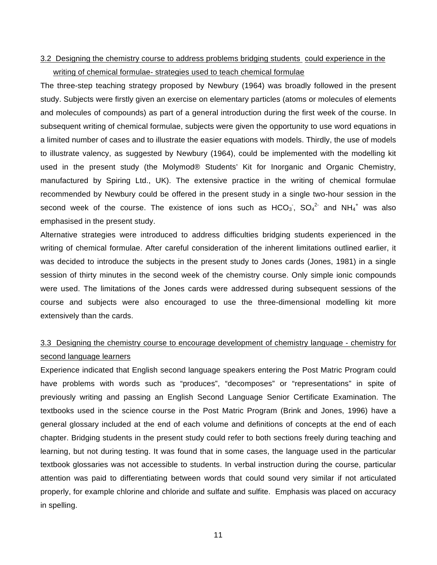# 3.2 Designing the chemistry course to address problems bridging students could experience in the writing of chemical formulae- strategies used to teach chemical formulae

The three-step teaching strategy proposed by Newbury (1964) was broadly followed in the present study. Subjects were firstly given an exercise on elementary particles (atoms or molecules of elements and molecules of compounds) as part of a general introduction during the first week of the course. In subsequent writing of chemical formulae, subjects were given the opportunity to use word equations in a limited number of cases and to illustrate the easier equations with models. Thirdly, the use of models to illustrate valency, as suggested by Newbury (1964), could be implemented with the modelling kit used in the present study (the Molymod® Students' Kit for Inorganic and Organic Chemistry, manufactured by Spiring Ltd., UK). The extensive practice in the writing of chemical formulae recommended by Newbury could be offered in the present study in a single two-hour session in the second week of the course. The existence of ions such as  $HCO_3$ ,  $SO_4^2$  and  $NH_4^+$  was also emphasised in the present study.

Alternative strategies were introduced to address difficulties bridging students experienced in the writing of chemical formulae. After careful consideration of the inherent limitations outlined earlier, it was decided to introduce the subjects in the present study to Jones cards (Jones, 1981) in a single session of thirty minutes in the second week of the chemistry course. Only simple ionic compounds were used. The limitations of the Jones cards were addressed during subsequent sessions of the course and subjects were also encouraged to use the three-dimensional modelling kit more extensively than the cards.

# 3.3 Designing the chemistry course to encourage development of chemistry language - chemistry for second language learners

Experience indicated that English second language speakers entering the Post Matric Program could have problems with words such as "produces", "decomposes" or "representations" in spite of previously writing and passing an English Second Language Senior Certificate Examination. The textbooks used in the science course in the Post Matric Program (Brink and Jones, 1996) have a general glossary included at the end of each volume and definitions of concepts at the end of each chapter. Bridging students in the present study could refer to both sections freely during teaching and learning, but not during testing. It was found that in some cases, the language used in the particular textbook glossaries was not accessible to students. In verbal instruction during the course, particular attention was paid to differentiating between words that could sound very similar if not articulated properly, for example chlorine and chloride and sulfate and sulfite. Emphasis was placed on accuracy in spelling.

11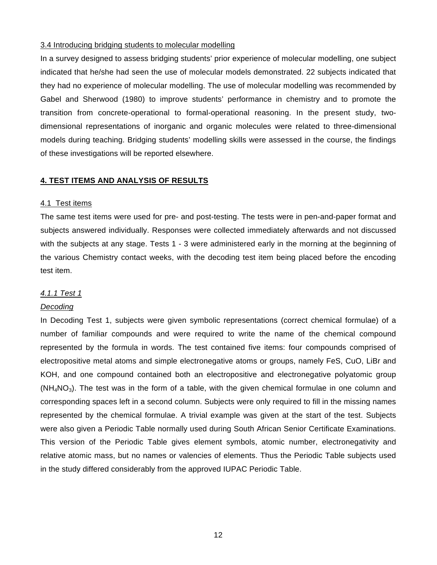## 3.4 Introducing bridging students to molecular modelling

In a survey designed to assess bridging students' prior experience of molecular modelling, one subject indicated that he/she had seen the use of molecular models demonstrated. 22 subjects indicated that they had no experience of molecular modelling. The use of molecular modelling was recommended by Gabel and Sherwood (1980) to improve students' performance in chemistry and to promote the transition from concrete-operational to formal-operational reasoning. In the present study, twodimensional representations of inorganic and organic molecules were related to three-dimensional models during teaching. Bridging students' modelling skills were assessed in the course, the findings of these investigations will be reported elsewhere.

## **4. TEST ITEMS AND ANALYSIS OF RESULTS**

### 4.1 Test items

The same test items were used for pre- and post-testing. The tests were in pen-and-paper format and subjects answered individually. Responses were collected immediately afterwards and not discussed with the subjects at any stage. Tests 1 - 3 were administered early in the morning at the beginning of the various Chemistry contact weeks, with the decoding test item being placed before the encoding test item.

#### *4.1.1 Test 1*

#### *Decoding*

In Decoding Test 1, subjects were given symbolic representations (correct chemical formulae) of a number of familiar compounds and were required to write the name of the chemical compound represented by the formula in words. The test contained five items: four compounds comprised of electropositive metal atoms and simple electronegative atoms or groups, namely FeS, CuO, LiBr and KOH, and one compound contained both an electropositive and electronegative polyatomic group  $(NH_4NO_3)$ . The test was in the form of a table, with the given chemical formulae in one column and corresponding spaces left in a second column. Subjects were only required to fill in the missing names represented by the chemical formulae. A trivial example was given at the start of the test. Subjects were also given a Periodic Table normally used during South African Senior Certificate Examinations. This version of the Periodic Table gives element symbols, atomic number, electronegativity and relative atomic mass, but no names or valencies of elements. Thus the Periodic Table subjects used in the study differed considerably from the approved IUPAC Periodic Table.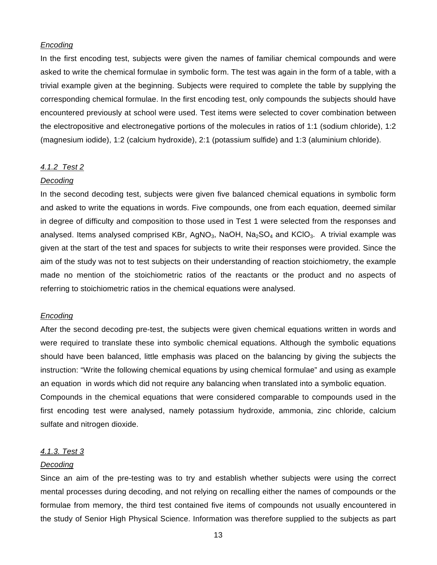## *Encoding*

In the first encoding test, subjects were given the names of familiar chemical compounds and were asked to write the chemical formulae in symbolic form. The test was again in the form of a table, with a trivial example given at the beginning. Subjects were required to complete the table by supplying the corresponding chemical formulae. In the first encoding test, only compounds the subjects should have encountered previously at school were used. Test items were selected to cover combination between the electropositive and electronegative portions of the molecules in ratios of 1:1 (sodium chloride), 1:2 (magnesium iodide), 1:2 (calcium hydroxide), 2:1 (potassium sulfide) and 1:3 (aluminium chloride).

#### *4.1.2 Test 2*

#### *Decoding*

In the second decoding test, subjects were given five balanced chemical equations in symbolic form and asked to write the equations in words. Five compounds, one from each equation, deemed similar in degree of difficulty and composition to those used in Test 1 were selected from the responses and analysed. Items analysed comprised KBr, AgNO<sub>3</sub>, NaOH, Na<sub>2</sub>SO<sub>4</sub> and KCIO<sub>3</sub>. A trivial example was given at the start of the test and spaces for subjects to write their responses were provided. Since the aim of the study was not to test subjects on their understanding of reaction stoichiometry, the example made no mention of the stoichiometric ratios of the reactants or the product and no aspects of referring to stoichiometric ratios in the chemical equations were analysed.

#### *Encoding*

After the second decoding pre-test, the subjects were given chemical equations written in words and were required to translate these into symbolic chemical equations. Although the symbolic equations should have been balanced, little emphasis was placed on the balancing by giving the subjects the instruction: "Write the following chemical equations by using chemical formulae" and using as example an equation in words which did not require any balancing when translated into a symbolic equation. Compounds in the chemical equations that were considered comparable to compounds used in the first encoding test were analysed, namely potassium hydroxide, ammonia, zinc chloride, calcium sulfate and nitrogen dioxide.

#### *4.1.3. Test 3*

#### *Decoding*

Since an aim of the pre-testing was to try and establish whether subjects were using the correct mental processes during decoding, and not relying on recalling either the names of compounds or the formulae from memory, the third test contained five items of compounds not usually encountered in the study of Senior High Physical Science. Information was therefore supplied to the subjects as part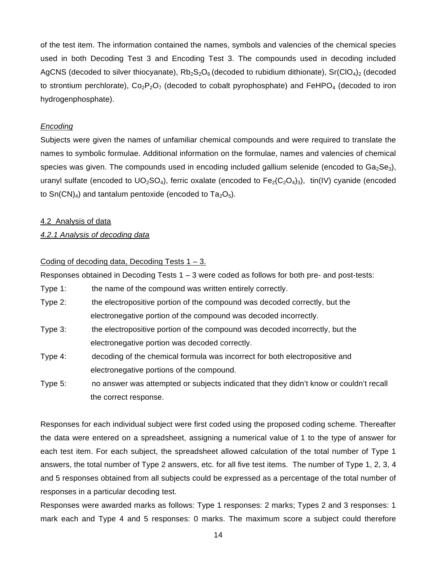of the test item. The information contained the names, symbols and valencies of the chemical species used in both Decoding Test 3 and Encoding Test 3. The compounds used in decoding included AgCNS (decoded to silver thiocyanate),  $Rb_2S_2O_6$  (decoded to rubidium dithionate), Sr(ClO<sub>4</sub>)<sub>2</sub> (decoded to strontium perchlorate),  $Co_2P_2O_7$  (decoded to cobalt pyrophosphate) and FeHPO<sub>4</sub> (decoded to iron hydrogenphosphate).

#### *Encoding*

Subjects were given the names of unfamiliar chemical compounds and were required to translate the names to symbolic formulae. Additional information on the formulae, names and valencies of chemical species was given. The compounds used in encoding included gallium selenide (encoded to  $Ga_2Se_3$ ), uranyl sulfate (encoded to UO<sub>2</sub>SO<sub>4</sub>), ferric oxalate (encoded to Fe<sub>2</sub>(C<sub>2</sub>O<sub>4</sub>)<sub>3</sub>), tin(IV) cyanide (encoded to  $Sn(CN)<sub>4</sub>$  and tantalum pentoxide (encoded to  $Ta<sub>2</sub>O<sub>5</sub>$ ).

#### 4.2 Analysis of data

## *4.2.1 Analysis of decoding data*

## Coding of decoding data, Decoding Tests  $1 - 3$ .

Responses obtained in Decoding Tests 1 – 3 were coded as follows for both pre- and post-tests:

Type 1: the name of the compound was written entirely correctly.

- Type 2: the electropositive portion of the compound was decoded correctly, but the electronegative portion of the compound was decoded incorrectly.
- Type 3: the electropositive portion of the compound was decoded incorrectly, but the electronegative portion was decoded correctly.
- Type 4: decoding of the chemical formula was incorrect for both electropositive and electronegative portions of the compound.
- Type 5: no answer was attempted or subjects indicated that they didn't know or couldn't recall the correct response.

Responses for each individual subject were first coded using the proposed coding scheme. Thereafter the data were entered on a spreadsheet, assigning a numerical value of 1 to the type of answer for each test item. For each subject, the spreadsheet allowed calculation of the total number of Type 1 answers, the total number of Type 2 answers, etc. for all five test items. The number of Type 1, 2, 3, 4 and 5 responses obtained from all subjects could be expressed as a percentage of the total number of responses in a particular decoding test.

Responses were awarded marks as follows: Type 1 responses: 2 marks; Types 2 and 3 responses: 1 mark each and Type 4 and 5 responses: 0 marks. The maximum score a subject could therefore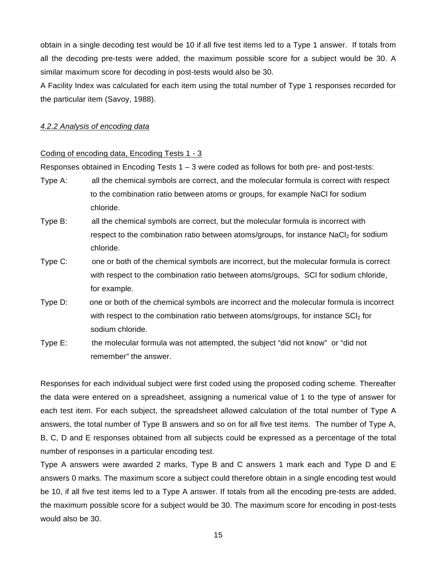obtain in a single decoding test would be 10 if all five test items led to a Type 1 answer. If totals from all the decoding pre-tests were added, the maximum possible score for a subject would be 30. A similar maximum score for decoding in post-tests would also be 30.

A Facility Index was calculated for each item using the total number of Type 1 responses recorded for the particular item (Savoy, 1988).

### *4.2.2 Analysis of encoding data*

#### Coding of encoding data, Encoding Tests 1 - 3

Responses obtained in Encoding Tests 1 – 3 were coded as follows for both pre- and post-tests:

- Type A: all the chemical symbols are correct, and the molecular formula is correct with respect to the combination ratio between atoms or groups, for example NaCl for sodium chloride.
- Type B: all the chemical symbols are correct, but the molecular formula is incorrect with respect to the combination ratio between atoms/groups, for instance  $NaCl<sub>2</sub>$  for sodium chloride.
- Type C: one or both of the chemical symbols are incorrect, but the molecular formula is correct with respect to the combination ratio between atoms/groups, SCl for sodium chloride, for example.
- Type D: one or both of the chemical symbols are incorrect and the molecular formula is incorrect with respect to the combination ratio between atoms/groups, for instance  $SCI<sub>2</sub>$  for sodium chloride.
- Type E: the molecular formula was not attempted, the subject "did not know" or "did not remember" the answer.

Responses for each individual subject were first coded using the proposed coding scheme. Thereafter the data were entered on a spreadsheet, assigning a numerical value of 1 to the type of answer for each test item. For each subject, the spreadsheet allowed calculation of the total number of Type A answers, the total number of Type B answers and so on for all five test items. The number of Type A, B, C, D and E responses obtained from all subjects could be expressed as a percentage of the total number of responses in a particular encoding test.

Type A answers were awarded 2 marks, Type B and C answers 1 mark each and Type D and E answers 0 marks. The maximum score a subject could therefore obtain in a single encoding test would be 10, if all five test items led to a Type A answer. If totals from all the encoding pre-tests are added, the maximum possible score for a subject would be 30. The maximum score for encoding in post-tests would also be 30.

15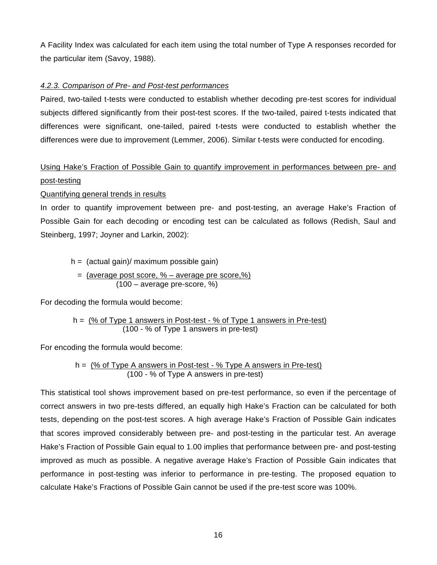A Facility Index was calculated for each item using the total number of Type A responses recorded for the particular item (Savoy, 1988).

## *4.2.3. Comparison of Pre- and Post-test performances*

Paired, two-tailed t-tests were conducted to establish whether decoding pre-test scores for individual subjects differed significantly from their post-test scores. If the two-tailed, paired t-tests indicated that differences were significant, one-tailed, paired t-tests were conducted to establish whether the differences were due to improvement (Lemmer, 2006). Similar t-tests were conducted for encoding.

# Using Hake's Fraction of Possible Gain to quantify improvement in performances between pre- and post-testing

## Quantifying general trends in results

In order to quantify improvement between pre- and post-testing, an average Hake's Fraction of Possible Gain for each decoding or encoding test can be calculated as follows (Redish, Saul and Steinberg, 1997; Joyner and Larkin, 2002):

 $h =$  (actual gain)/ maximum possible gain)

\n
$$
= \frac{(\text{average post score}, \% - \text{average pre score}, \%)}{(100 - \text{average pre-score}, \%)}
$$
\n

For decoding the formula would become:

$$
h = \frac{96 \text{ of Type 1 answers in Post-test} - 96 \text{ of Type 1 answers in Pre-test}}{(100 - 96 \text{ of Type 1 answers in pre-test})}
$$

For encoding the formula would become:

$$
h = \frac{96 \text{ of Type A answers in Post-test} - 96 \text{ Type A answers in Pre-test}}{(100 - 96 \text{ of Type A answers in pre-test})}
$$

This statistical tool shows improvement based on pre-test performance, so even if the percentage of correct answers in two pre-tests differed, an equally high Hake's Fraction can be calculated for both tests, depending on the post-test scores. A high average Hake's Fraction of Possible Gain indicates that scores improved considerably between pre- and post-testing in the particular test. An average Hake's Fraction of Possible Gain equal to 1.00 implies that performance between pre- and post-testing improved as much as possible. A negative average Hake's Fraction of Possible Gain indicates that performance in post-testing was inferior to performance in pre-testing. The proposed equation to calculate Hake's Fractions of Possible Gain cannot be used if the pre-test score was 100%.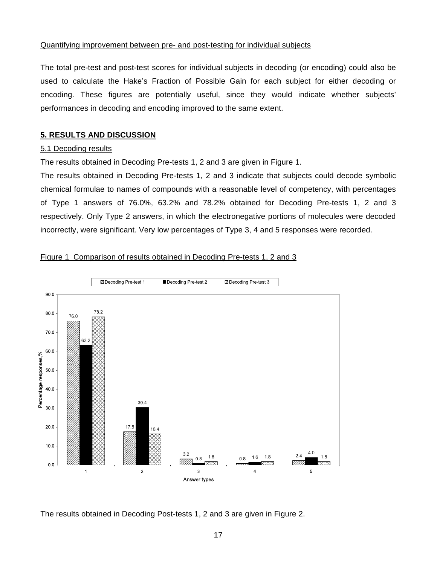## Quantifying improvement between pre- and post-testing for individual subjects

The total pre-test and post-test scores for individual subjects in decoding (or encoding) could also be used to calculate the Hake's Fraction of Possible Gain for each subject for either decoding or encoding. These figures are potentially useful, since they would indicate whether subjects' performances in decoding and encoding improved to the same extent.

# **5. RESULTS AND DISCUSSION**

#### 5.1 Decoding results

The results obtained in Decoding Pre-tests 1, 2 and 3 are given in Figure 1.

The results obtained in Decoding Pre-tests 1, 2 and 3 indicate that subjects could decode symbolic chemical formulae to names of compounds with a reasonable level of competency, with percentages of Type 1 answers of 76.0%, 63.2% and 78.2% obtained for Decoding Pre-tests 1, 2 and 3 respectively. Only Type 2 answers, in which the electronegative portions of molecules were decoded incorrectly, were significant. Very low percentages of Type 3, 4 and 5 responses were recorded.

## Figure 1 Comparison of results obtained in Decoding Pre-tests 1, 2 and 3



The results obtained in Decoding Post-tests 1, 2 and 3 are given in Figure 2.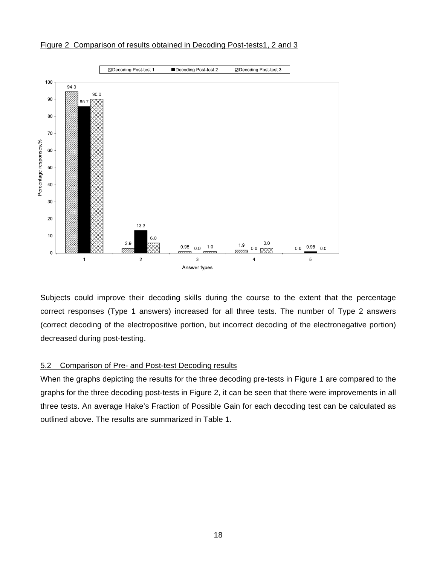

Figure 2 Comparison of results obtained in Decoding Post-tests1, 2 and 3

Subjects could improve their decoding skills during the course to the extent that the percentage correct responses (Type 1 answers) increased for all three tests. The number of Type 2 answers (correct decoding of the electropositive portion, but incorrect decoding of the electronegative portion) decreased during post-testing.

# 5.2 Comparison of Pre- and Post-test Decoding results

When the graphs depicting the results for the three decoding pre-tests in Figure 1 are compared to the graphs for the three decoding post-tests in Figure 2, it can be seen that there were improvements in all three tests. An average Hake's Fraction of Possible Gain for each decoding test can be calculated as outlined above. The results are summarized in Table 1.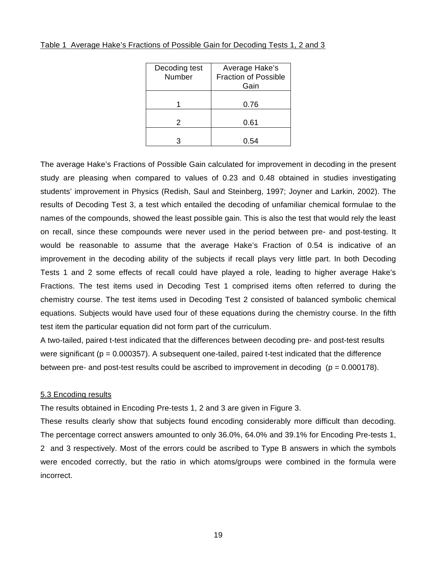| Decoding test<br>Number | Average Hake's<br><b>Fraction of Possible</b><br>Gain |
|-------------------------|-------------------------------------------------------|
|                         | 0.76                                                  |
| 2                       | 0.61                                                  |
| з                       | 0.54                                                  |

### Table 1 Average Hake's Fractions of Possible Gain for Decoding Tests 1, 2 and 3

The average Hake's Fractions of Possible Gain calculated for improvement in decoding in the present study are pleasing when compared to values of 0.23 and 0.48 obtained in studies investigating students' improvement in Physics (Redish, Saul and Steinberg, 1997; Joyner and Larkin, 2002). The results of Decoding Test 3, a test which entailed the decoding of unfamiliar chemical formulae to the names of the compounds, showed the least possible gain. This is also the test that would rely the least on recall, since these compounds were never used in the period between pre- and post-testing. It would be reasonable to assume that the average Hake's Fraction of 0.54 is indicative of an improvement in the decoding ability of the subjects if recall plays very little part. In both Decoding Tests 1 and 2 some effects of recall could have played a role, leading to higher average Hake's Fractions. The test items used in Decoding Test 1 comprised items often referred to during the chemistry course. The test items used in Decoding Test 2 consisted of balanced symbolic chemical equations. Subjects would have used four of these equations during the chemistry course. In the fifth test item the particular equation did not form part of the curriculum.

A two-tailed, paired t-test indicated that the differences between decoding pre- and post-test results were significant ( $p = 0.000357$ ). A subsequent one-tailed, paired t-test indicated that the difference between pre- and post-test results could be ascribed to improvement in decoding  $(p = 0.000178)$ .

#### 5.3 Encoding results

The results obtained in Encoding Pre-tests 1, 2 and 3 are given in Figure 3.

These results clearly show that subjects found encoding considerably more difficult than decoding. The percentage correct answers amounted to only 36.0%, 64.0% and 39.1% for Encoding Pre-tests 1, 2 and 3 respectively. Most of the errors could be ascribed to Type B answers in which the symbols were encoded correctly, but the ratio in which atoms/groups were combined in the formula were incorrect.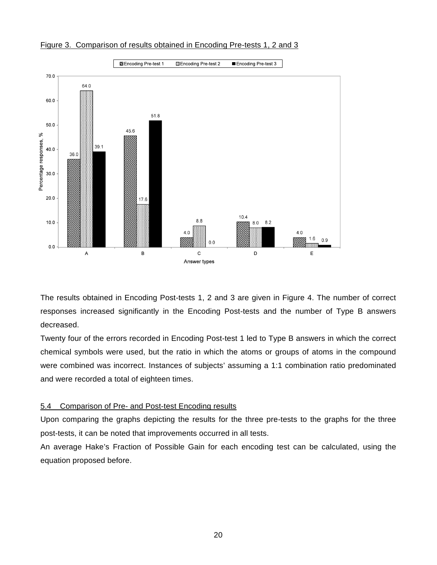

Figure 3. Comparison of results obtained in Encoding Pre-tests 1, 2 and 3

The results obtained in Encoding Post-tests 1, 2 and 3 are given in Figure 4. The number of correct responses increased significantly in the Encoding Post-tests and the number of Type B answers decreased.

Twenty four of the errors recorded in Encoding Post-test 1 led to Type B answers in which the correct chemical symbols were used, but the ratio in which the atoms or groups of atoms in the compound were combined was incorrect. Instances of subjects' assuming a 1:1 combination ratio predominated and were recorded a total of eighteen times.

# 5.4 Comparison of Pre- and Post-test Encoding results

Upon comparing the graphs depicting the results for the three pre-tests to the graphs for the three post-tests, it can be noted that improvements occurred in all tests.

An average Hake's Fraction of Possible Gain for each encoding test can be calculated, using the equation proposed before.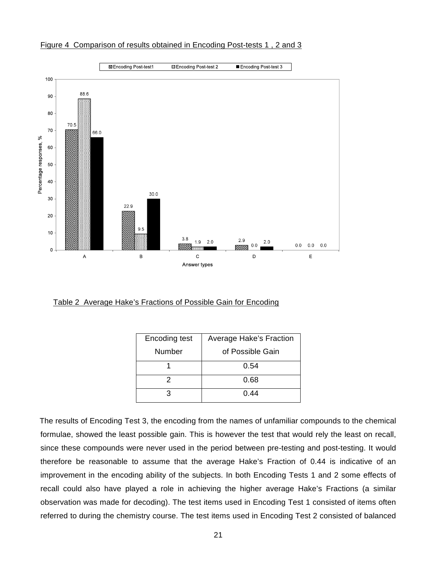

Figure 4 Comparison of results obtained in Encoding Post-tests 1 , 2 and 3

Table 2 Average Hake's Fractions of Possible Gain for Encoding

| Encoding test | <b>Average Hake's Fraction</b> |  |
|---------------|--------------------------------|--|
| Number        | of Possible Gain               |  |
|               | 0.54                           |  |
| 2             | 0.68                           |  |
| з             | 0.44                           |  |

 The results of Encoding Test 3, the encoding from the names of unfamiliar compounds to the chemical formulae, showed the least possible gain. This is however the test that would rely the least on recall, since these compounds were never used in the period between pre-testing and post-testing. It would therefore be reasonable to assume that the average Hake's Fraction of 0.44 is indicative of an improvement in the encoding ability of the subjects. In both Encoding Tests 1 and 2 some effects of recall could also have played a role in achieving the higher average Hake's Fractions (a similar observation was made for decoding). The test items used in Encoding Test 1 consisted of items often referred to during the chemistry course. The test items used in Encoding Test 2 consisted of balanced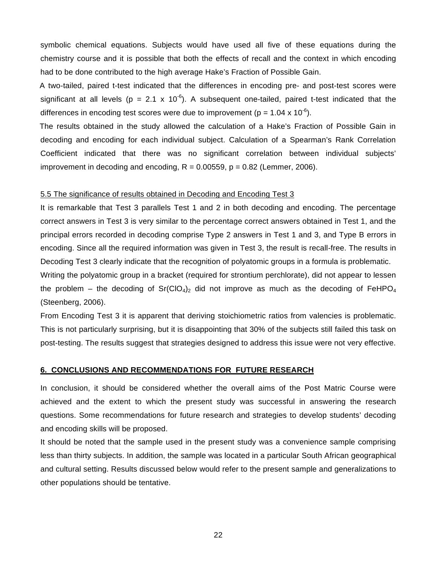symbolic chemical equations. Subjects would have used all five of these equations during the chemistry course and it is possible that both the effects of recall and the context in which encoding had to be done contributed to the high average Hake's Fraction of Possible Gain.

 A two-tailed, paired t-test indicated that the differences in encoding pre- and post-test scores were significant at all levels (p = 2.1 x 10<sup>-6</sup>). A subsequent one-tailed, paired t-test indicated that the differences in encoding test scores were due to improvement ( $p = 1.04 \times 10^{-6}$ ).

 The results obtained in the study allowed the calculation of a Hake's Fraction of Possible Gain in decoding and encoding for each individual subject. Calculation of a Spearman's Rank Correlation Coefficient indicated that there was no significant correlation between individual subjects' improvement in decoding and encoding,  $R = 0.00559$ ,  $p = 0.82$  (Lemmer, 2006).

### 5.5 The significance of results obtained in Decoding and Encoding Test 3

It is remarkable that Test 3 parallels Test 1 and 2 in both decoding and encoding. The percentage correct answers in Test 3 is very similar to the percentage correct answers obtained in Test 1, and the principal errors recorded in decoding comprise Type 2 answers in Test 1 and 3, and Type B errors in encoding. Since all the required information was given in Test 3, the result is recall-free. The results in Decoding Test 3 clearly indicate that the recognition of polyatomic groups in a formula is problematic.

Writing the polyatomic group in a bracket (required for strontium perchlorate), did not appear to lessen the problem – the decoding of  $Sr(ClO<sub>4</sub>)<sub>2</sub>$  did not improve as much as the decoding of FeHPO<sub>4</sub> (Steenberg, 2006).

From Encoding Test 3 it is apparent that deriving stoichiometric ratios from valencies is problematic. This is not particularly surprising, but it is disappointing that 30% of the subjects still failed this task on post-testing. The results suggest that strategies designed to address this issue were not very effective.

### **6. CONCLUSIONS AND RECOMMENDATIONS FOR FUTURE RESEARCH**

In conclusion, it should be considered whether the overall aims of the Post Matric Course were achieved and the extent to which the present study was successful in answering the research questions. Some recommendations for future research and strategies to develop students' decoding and encoding skills will be proposed.

It should be noted that the sample used in the present study was a convenience sample comprising less than thirty subjects. In addition, the sample was located in a particular South African geographical and cultural setting. Results discussed below would refer to the present sample and generalizations to other populations should be tentative.

22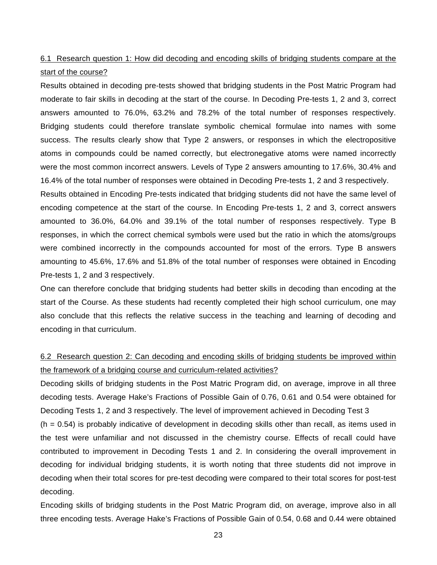# 6.1 Research question 1: How did decoding and encoding skills of bridging students compare at the start of the course?

Results obtained in decoding pre-tests showed that bridging students in the Post Matric Program had moderate to fair skills in decoding at the start of the course. In Decoding Pre-tests 1, 2 and 3, correct answers amounted to 76.0%, 63.2% and 78.2% of the total number of responses respectively. Bridging students could therefore translate symbolic chemical formulae into names with some success. The results clearly show that Type 2 answers, or responses in which the electropositive atoms in compounds could be named correctly, but electronegative atoms were named incorrectly were the most common incorrect answers. Levels of Type 2 answers amounting to 17.6%, 30.4% and 16.4% of the total number of responses were obtained in Decoding Pre-tests 1, 2 and 3 respectively.

Results obtained in Encoding Pre-tests indicated that bridging students did not have the same level of encoding competence at the start of the course. In Encoding Pre-tests 1, 2 and 3, correct answers amounted to 36.0%, 64.0% and 39.1% of the total number of responses respectively. Type B responses, in which the correct chemical symbols were used but the ratio in which the atoms/groups were combined incorrectly in the compounds accounted for most of the errors. Type B answers amounting to 45.6%, 17.6% and 51.8% of the total number of responses were obtained in Encoding Pre-tests 1, 2 and 3 respectively.

One can therefore conclude that bridging students had better skills in decoding than encoding at the start of the Course. As these students had recently completed their high school curriculum, one may also conclude that this reflects the relative success in the teaching and learning of decoding and encoding in that curriculum.

# 6.2 Research question 2: Can decoding and encoding skills of bridging students be improved within the framework of a bridging course and curriculum-related activities?

Decoding skills of bridging students in the Post Matric Program did, on average, improve in all three decoding tests. Average Hake's Fractions of Possible Gain of 0.76, 0.61 and 0.54 were obtained for Decoding Tests 1, 2 and 3 respectively. The level of improvement achieved in Decoding Test 3

 $(h = 0.54)$  is probably indicative of development in decoding skills other than recall, as items used in the test were unfamiliar and not discussed in the chemistry course. Effects of recall could have contributed to improvement in Decoding Tests 1 and 2. In considering the overall improvement in decoding for individual bridging students, it is worth noting that three students did not improve in decoding when their total scores for pre-test decoding were compared to their total scores for post-test decoding.

Encoding skills of bridging students in the Post Matric Program did, on average, improve also in all three encoding tests. Average Hake's Fractions of Possible Gain of 0.54, 0.68 and 0.44 were obtained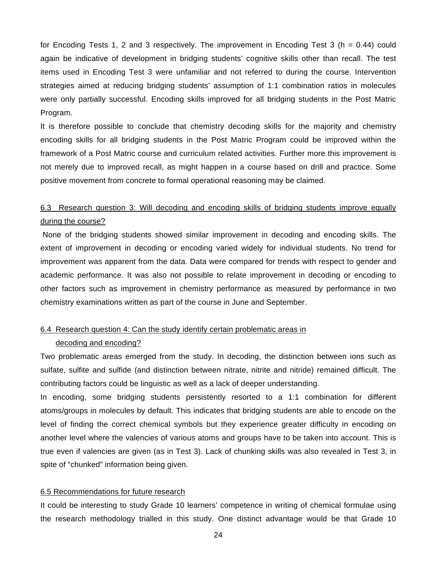for Encoding Tests 1, 2 and 3 respectively. The improvement in Encoding Test 3 (h = 0.44) could again be indicative of development in bridging students' cognitive skills other than recall. The test items used in Encoding Test 3 were unfamiliar and not referred to during the course. Intervention strategies aimed at reducing bridging students' assumption of 1:1 combination ratios in molecules were only partially successful. Encoding skills improved for all bridging students in the Post Matric Program.

It is therefore possible to conclude that chemistry decoding skills for the majority and chemistry encoding skills for all bridging students in the Post Matric Program could be improved within the framework of a Post Matric course and curriculum related activities. Further more this improvement is not merely due to improved recall, as might happen in a course based on drill and practice. Some positive movement from concrete to formal operational reasoning may be claimed.

# 6.3 Research question 3: Will decoding and encoding skills of bridging students improve equally during the course?

 None of the bridging students showed similar improvement in decoding and encoding skills. The extent of improvement in decoding or encoding varied widely for individual students. No trend for improvement was apparent from the data. Data were compared for trends with respect to gender and academic performance. It was also not possible to relate improvement in decoding or encoding to other factors such as improvement in chemistry performance as measured by performance in two chemistry examinations written as part of the course in June and September.

## 6.4 Research question 4: Can the study identify certain problematic areas in

#### decoding and encoding?

Two problematic areas emerged from the study. In decoding, the distinction between ions such as sulfate, sulfite and sulfide (and distinction between nitrate, nitrite and nitride) remained difficult. The contributing factors could be linguistic as well as a lack of deeper understanding.

In encoding, some bridging students persistently resorted to a 1:1 combination for different atoms/groups in molecules by default. This indicates that bridging students are able to encode on the level of finding the correct chemical symbols but they experience greater difficulty in encoding on another level where the valencies of various atoms and groups have to be taken into account. This is true even if valencies are given (as in Test 3). Lack of chunking skills was also revealed in Test 3, in spite of "chunked" information being given.

#### 6.5 Recommendations for future research

It could be interesting to study Grade 10 learners' competence in writing of chemical formulae using the research methodology trialled in this study. One distinct advantage would be that Grade 10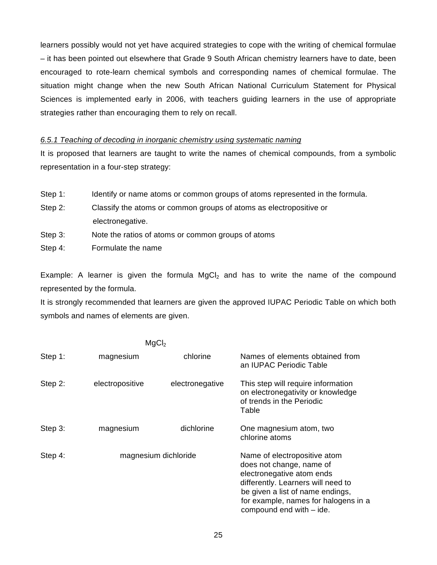learners possibly would not yet have acquired strategies to cope with the writing of chemical formulae – it has been pointed out elsewhere that Grade 9 South African chemistry learners have to date, been encouraged to rote-learn chemical symbols and corresponding names of chemical formulae. The situation might change when the new South African National Curriculum Statement for Physical Sciences is implemented early in 2006, with teachers guiding learners in the use of appropriate strategies rather than encouraging them to rely on recall.

## *6.5.1 Teaching of decoding in inorganic chemistry using systematic naming*

It is proposed that learners are taught to write the names of chemical compounds, from a symbolic representation in a four-step strategy:

- Step 1: Identify or name atoms or common groups of atoms represented in the formula.
- Step 2: Classify the atoms or common groups of atoms as electropositive or electronegative.
- Step 3: Note the ratios of atoms or common groups of atoms
- Step 4: Formulate the name

Example: A learner is given the formula  $\text{MaCl}_2$  and has to write the name of the compound represented by the formula.

It is strongly recommended that learners are given the approved IUPAC Periodic Table on which both symbols and names of elements are given.

| MgCl <sub>2</sub> |                      |                 |                                                                                                                                                                                                                                     |
|-------------------|----------------------|-----------------|-------------------------------------------------------------------------------------------------------------------------------------------------------------------------------------------------------------------------------------|
| Step 1:           | magnesium            | chlorine        | Names of elements obtained from<br>an IUPAC Periodic Table                                                                                                                                                                          |
| Step 2:           | electropositive      | electronegative | This step will require information<br>on electronegativity or knowledge<br>of trends in the Periodic<br>Table                                                                                                                       |
| Step 3:           | magnesium            | dichlorine      | One magnesium atom, two<br>chlorine atoms                                                                                                                                                                                           |
| Step 4:           | magnesium dichloride |                 | Name of electropositive atom<br>does not change, name of<br>electronegative atom ends<br>differently. Learners will need to<br>be given a list of name endings,<br>for example, names for halogens in a<br>compound end with - ide. |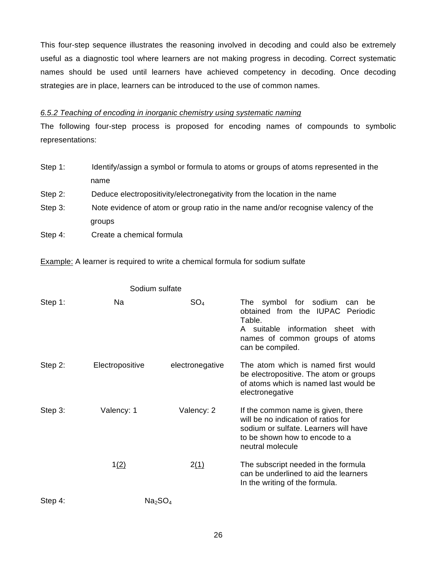This four-step sequence illustrates the reasoning involved in decoding and could also be extremely useful as a diagnostic tool where learners are not making progress in decoding. Correct systematic names should be used until learners have achieved competency in decoding. Once decoding strategies are in place, learners can be introduced to the use of common names.

## *6.5.2 Teaching of encoding in inorganic chemistry using systematic naming*

The following four-step process is proposed for encoding names of compounds to symbolic representations:

- Step 1: Identify/assign a symbol or formula to atoms or groups of atoms represented in the name Step 2: Deduce electropositivity/electronegativity from the location in the name Step 3: Note evidence of atom or group ratio in the name and/or recognise valency of the groups
- Step 4: Create a chemical formula

**Example:** A learner is required to write a chemical formula for sodium sulfate

| Step 1: | Na                              | SO <sub>4</sub> | The symbol for sodium<br>be<br>can<br>obtained from the IUPAC Periodic<br>Table.<br>A suitable information sheet with<br>names of common groups of atoms<br>can be compiled. |
|---------|---------------------------------|-----------------|------------------------------------------------------------------------------------------------------------------------------------------------------------------------------|
| Step 2: | Electropositive                 | electronegative | The atom which is named first would<br>be electropositive. The atom or groups<br>of atoms which is named last would be<br>electronegative                                    |
| Step 3: | Valency: 1                      | Valency: 2      | If the common name is given, there<br>will be no indication of ratios for<br>sodium or sulfate. Learners will have<br>to be shown how to encode to a<br>neutral molecule     |
|         | 1(2)                            | 2(1)            | The subscript needed in the formula<br>can be underlined to aid the learners<br>In the writing of the formula.                                                               |
| Step 4: | Na <sub>2</sub> SO <sub>4</sub> |                 |                                                                                                                                                                              |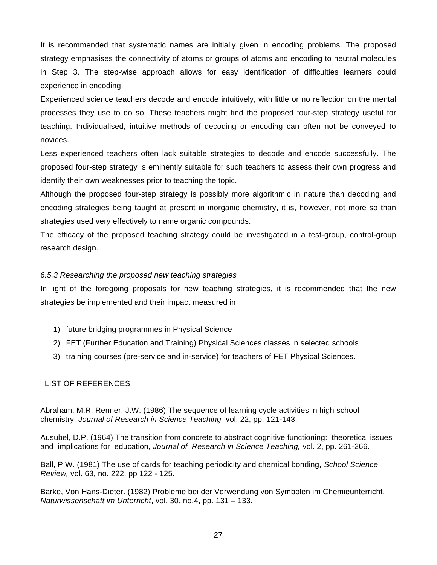It is recommended that systematic names are initially given in encoding problems. The proposed strategy emphasises the connectivity of atoms or groups of atoms and encoding to neutral molecules in Step 3. The step-wise approach allows for easy identification of difficulties learners could experience in encoding.

Experienced science teachers decode and encode intuitively, with little or no reflection on the mental processes they use to do so. These teachers might find the proposed four-step strategy useful for teaching. Individualised, intuitive methods of decoding or encoding can often not be conveyed to novices.

Less experienced teachers often lack suitable strategies to decode and encode successfully. The proposed four-step strategy is eminently suitable for such teachers to assess their own progress and identify their own weaknesses prior to teaching the topic.

Although the proposed four-step strategy is possibly more algorithmic in nature than decoding and encoding strategies being taught at present in inorganic chemistry, it is, however, not more so than strategies used very effectively to name organic compounds.

The efficacy of the proposed teaching strategy could be investigated in a test-group, control-group research design.

## *6.5.3 Researching the proposed new teaching strategies*

In light of the foregoing proposals for new teaching strategies, it is recommended that the new strategies be implemented and their impact measured in

- 1) future bridging programmes in Physical Science
- 2) FET (Further Education and Training) Physical Sciences classes in selected schools
- 3) training courses (pre-service and in-service) for teachers of FET Physical Sciences.

## LIST OF REFERENCES

Abraham, M.R; Renner, J.W. (1986) The sequence of learning cycle activities in high school chemistry, *Journal of Research in Science Teaching,* vol. 22, pp. 121-143.

Ausubel, D.P. (1964) The transition from concrete to abstract cognitive functioning: theoretical issues and implications for education, *Journal of Research in Science Teaching,* vol. 2, pp. 261-266.

Ball, P.W. (1981) The use of cards for teaching periodicity and chemical bonding, *School Science Review,* vol. 63, no. 222, pp 122 - 125.

Barke, Von Hans-Dieter. (1982) Probleme bei der Verwendung von Symbolen im Chemieunterricht, *Naturwissenschaft im Unterricht*, vol. 30, no.4, pp. 131 – 133.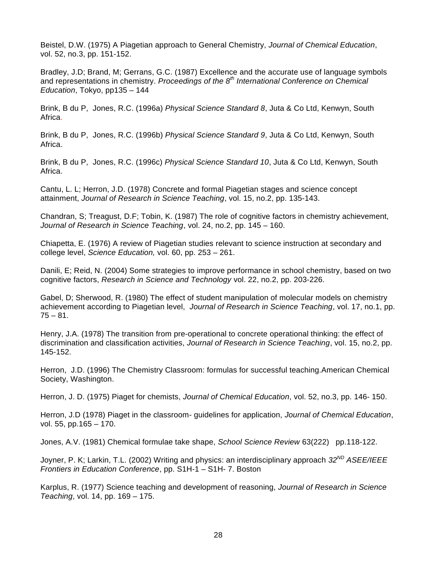Beistel, D.W. (1975) A Piagetian approach to General Chemistry, *Journal of Chemical Education*, vol. 52, no.3, pp. 151-152.

Bradley, J.D; Brand, M; Gerrans, G.C. (1987) Excellence and the accurate use of language symbols and representations in chemistry. *Proceedings of the 8th International Conference on Chemical Education*, Tokyo, pp135 – 144

Brink, B du P, Jones, R.C. (1996a) *Physical Science Standard 8*, Juta & Co Ltd, Kenwyn, South Africa.

Brink, B du P, Jones, R.C. (1996b) *Physical Science Standard 9*, Juta & Co Ltd, Kenwyn, South Africa.

Brink, B du P, Jones, R.C. (1996c) *Physical Science Standard 10*, Juta & Co Ltd, Kenwyn, South Africa.

Cantu, L. L; Herron, J.D. (1978) Concrete and formal Piagetian stages and science concept attainment, *Journal of Research in Science Teaching*, vol. 15, no.2, pp. 135-143.

Chandran, S; Treagust, D.F; Tobin, K. (1987) The role of cognitive factors in chemistry achievement, *Journal of Research in Science Teaching*, vol. 24, no.2, pp. 145 – 160.

Chiapetta, E. (1976) A review of Piagetian studies relevant to science instruction at secondary and college level, *Science Education,* vol. 60, pp. 253 – 261.

Danili, E; Reid, N. (2004) Some strategies to improve performance in school chemistry, based on two cognitive factors, *Research in Science and Technology* vol. 22, no.2, pp. 203-226.

Gabel, D; Sherwood, R. (1980) The effect of student manipulation of molecular models on chemistry achievement according to Piagetian level, *Journal of Research in Science Teaching*, vol. 17, no.1, pp.  $75 - 81.$ 

Henry, J.A. (1978) The transition from pre-operational to concrete operational thinking: the effect of discrimination and classification activities, *Journal of Research in Science Teaching*, vol. 15, no.2, pp. 145-152.

Herron, J.D. (1996) The Chemistry Classroom: formulas for successful teaching.American Chemical Society, Washington.

Herron, J. D. (1975) Piaget for chemists, *Journal of Chemical Education*, vol. 52, no.3, pp. 146- 150.

Herron, J.D (1978) Piaget in the classroom- guidelines for application, *Journal of Chemical Education*, vol. 55, pp.165 – 170.

Jones, A.V. (1981) Chemical formulae take shape, *School Science Review* 63(222) pp.118-122.

Joyner, P. K; Larkin, T.L. (2002) Writing and physics: an interdisciplinary approach *32ND ASEE/IEEE Frontiers in Education Conference*, pp. S1H-1 – S1H- 7. Boston

Karplus, R. (1977) Science teaching and development of reasoning, *Journal of Research in Science Teaching*, vol. 14, pp. 169 – 175.